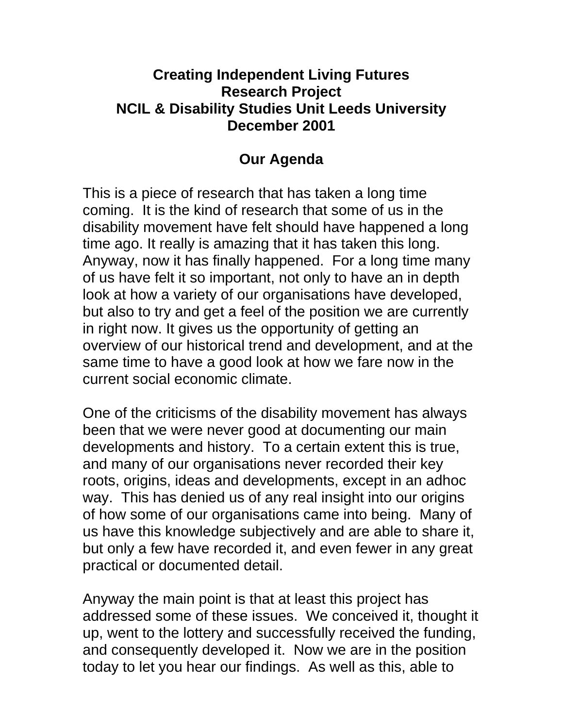## **Creating Independent Living Futures Research Project NCIL & Disability Studies Unit Leeds University December 2001**

## **Our Agenda**

This is a piece of research that has taken a long time coming. It is the kind of research that some of us in the disability movement have felt should have happened a long time ago. It really is amazing that it has taken this long. Anyway, now it has finally happened. For a long time many of us have felt it so important, not only to have an in depth look at how a variety of our organisations have developed, but also to try and get a feel of the position we are currently in right now. It gives us the opportunity of getting an overview of our historical trend and development, and at the same time to have a good look at how we fare now in the current social economic climate.

One of the criticisms of the disability movement has always been that we were never good at documenting our main developments and history. To a certain extent this is true, and many of our organisations never recorded their key roots, origins, ideas and developments, except in an adhoc way. This has denied us of any real insight into our origins of how some of our organisations came into being. Many of us have this knowledge subjectively and are able to share it, but only a few have recorded it, and even fewer in any great practical or documented detail.

Anyway the main point is that at least this project has addressed some of these issues. We conceived it, thought it up, went to the lottery and successfully received the funding, and consequently developed it. Now we are in the position today to let you hear our findings. As well as this, able to